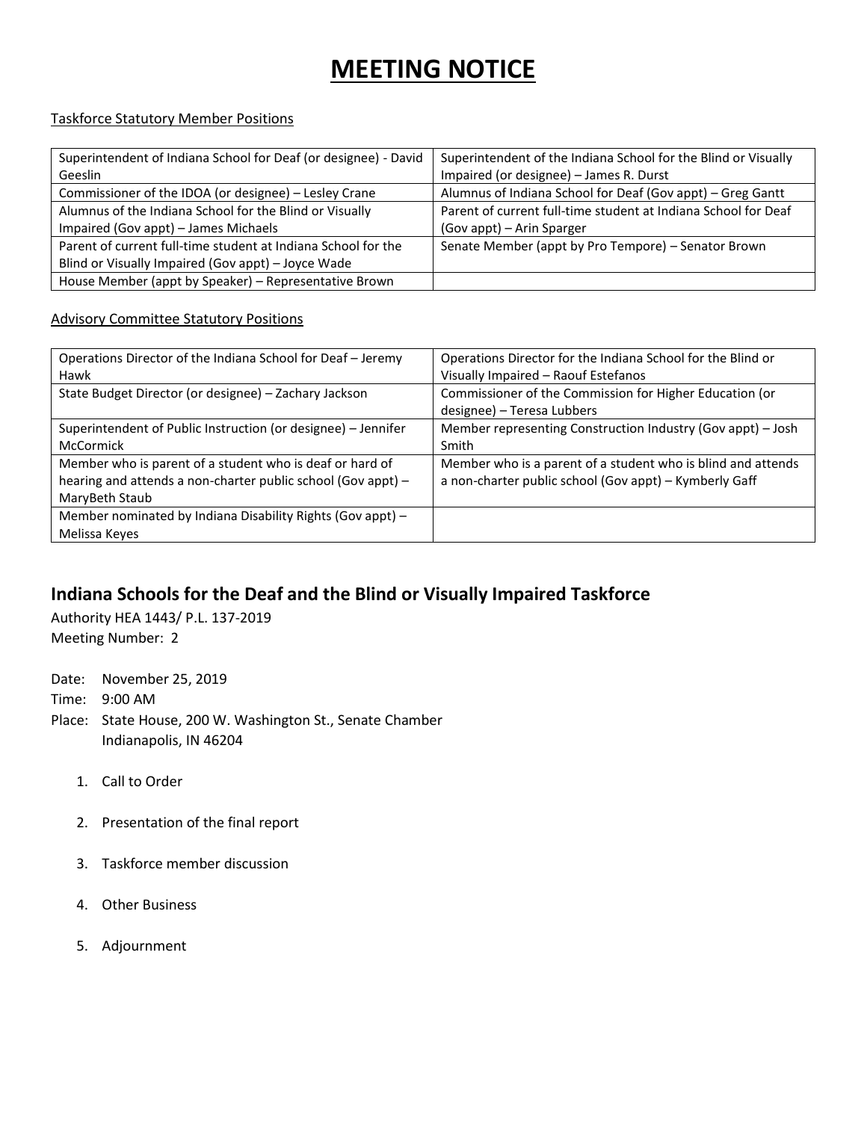## **MEETING NOTICE**

## Taskforce Statutory Member Positions

| Superintendent of Indiana School for Deaf (or designee) - David | Superintendent of the Indiana School for the Blind or Visually |
|-----------------------------------------------------------------|----------------------------------------------------------------|
| Geeslin                                                         | Impaired (or designee) - James R. Durst                        |
| Commissioner of the IDOA (or designee) - Lesley Crane           | Alumnus of Indiana School for Deaf (Gov appt) - Greg Gantt     |
| Alumnus of the Indiana School for the Blind or Visually         | Parent of current full-time student at Indiana School for Deaf |
| Impaired (Gov appt) - James Michaels                            | (Gov appt) - Arin Sparger                                      |
| Parent of current full-time student at Indiana School for the   | Senate Member (appt by Pro Tempore) - Senator Brown            |
| Blind or Visually Impaired (Gov appt) - Joyce Wade              |                                                                |
| House Member (appt by Speaker) - Representative Brown           |                                                                |

## Advisory Committee Statutory Positions

| Operations Director of the Indiana School for Deaf - Jeremy   | Operations Director for the Indiana School for the Blind or  |
|---------------------------------------------------------------|--------------------------------------------------------------|
| Hawk                                                          | Visually Impaired - Raouf Estefanos                          |
| State Budget Director (or designee) - Zachary Jackson         | Commissioner of the Commission for Higher Education (or      |
|                                                               | designee) - Teresa Lubbers                                   |
| Superintendent of Public Instruction (or designee) - Jennifer | Member representing Construction Industry (Gov appt) - Josh  |
| McCormick                                                     | Smith                                                        |
| Member who is parent of a student who is deaf or hard of      | Member who is a parent of a student who is blind and attends |
| hearing and attends a non-charter public school (Gov appt) -  | a non-charter public school (Gov appt) - Kymberly Gaff       |
| MaryBeth Staub                                                |                                                              |
| Member nominated by Indiana Disability Rights (Gov appt) -    |                                                              |
| Melissa Keyes                                                 |                                                              |

## **Indiana Schools for the Deaf and the Blind or Visually Impaired Taskforce**

Authority HEA 1443/ P.L. 137-2019 Meeting Number: 2

Date: November 25, 2019 Time: 9:00 AM Place: State House, 200 W. Washington St., Senate Chamber Indianapolis, IN 46204

- 1. Call to Order
- 2. Presentation of the final report
- 3. Taskforce member discussion
- 4. Other Business
- 5. Adjournment